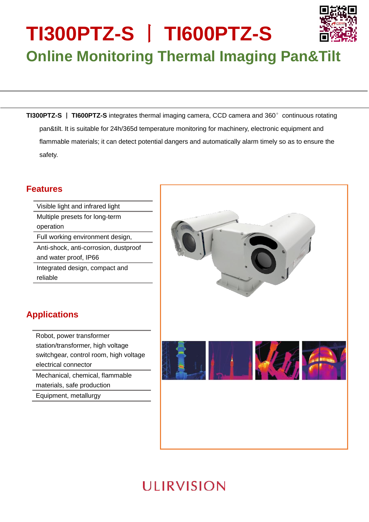# **TI300PTZ-S** 丨 **TI600PTZ-S Online Monitoring Thermal Imaging Pan&Tilt**

**TI300PTZ-S** | **TI600PTZ-S** integrates thermal imaging camera, CCD camera and 360° continuous rotating pan&tilt. It is suitable for 24h/365d temperature monitoring for machinery, electronic equipment and flammable materials; it can detect potential dangers and automatically alarm timely so as to ensure the safety.

### **Features**

Visible light and infrared light Multiple presets for long-term operation Full working environment design, Anti-shock, anti-corrosion, dustproof and water proof, IP66 Integrated design, compact and reliable

## **Applications**

Robot, power transformer station/transformer, high voltage switchgear, control room, high voltage electrical connector Mechanical, chemical, flammable

materials, safe production

Equipment, metallurgy

## **ULIRVISION**

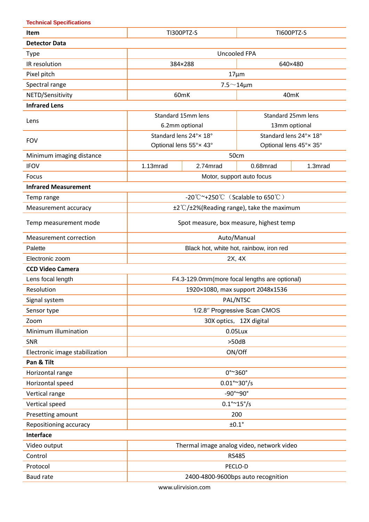**Technical Specifications**

| Item                           | <b>TI300PTZ-S</b>                             |          | <b>TI600PTZ-S</b>      |         |
|--------------------------------|-----------------------------------------------|----------|------------------------|---------|
| <b>Detector Data</b>           |                                               |          |                        |         |
| Type                           | <b>Uncooled FPA</b>                           |          |                        |         |
| IR resolution                  | 384×288<br>640×480                            |          |                        |         |
| Pixel pitch                    | $17 \mu m$                                    |          |                        |         |
| Spectral range                 | $7.5 \sim 14 \mu m$                           |          |                        |         |
| NETD/Sensitivity               | 60mK<br>40mK                                  |          |                        |         |
| <b>Infrared Lens</b>           |                                               |          |                        |         |
| Lens                           | Standard 15mm lens                            |          | Standard 25mm lens     |         |
|                                | 6.2mm optional                                |          | 13mm optional          |         |
| <b>FOV</b>                     | Standard lens 24°x 18°                        |          | Standard lens 24°x 18° |         |
|                                | Optional lens 55°x 43°                        |          | Optional lens 45°x 35° |         |
| Minimum imaging distance       | 50cm                                          |          |                        |         |
| <b>IFOV</b>                    | 1.13mrad                                      | 2.74mrad | 0.68mrad               | 1.3mrad |
| Focus                          | Motor, support auto focus                     |          |                        |         |
| <b>Infrared Measurement</b>    |                                               |          |                        |         |
| Temp range                     | -20°C $\sim$ +250°C (Scalable to 650°C)       |          |                        |         |
| Measurement accuracy           | ±2°C/±2%(Reading range), take the maximum     |          |                        |         |
| Temp measurement mode          | Spot measure, box measure, highest temp       |          |                        |         |
| <b>Measurement correction</b>  | Auto/Manual                                   |          |                        |         |
| Palette                        | Black hot, white hot, rainbow, iron red       |          |                        |         |
| Electronic zoom                | 2X, 4X                                        |          |                        |         |
| <b>CCD Video Camera</b>        |                                               |          |                        |         |
| Lens focal length              | F4.3-129.0mm(more focal lengths are optional) |          |                        |         |
| Resolution                     | 1920×1080, max support 2048x1536              |          |                        |         |
| Signal system                  | PAL/NTSC                                      |          |                        |         |
| Sensor type                    | 1/2.8" Progressive Scan CMOS                  |          |                        |         |
| Zoom                           | 30X optics, 12X digital                       |          |                        |         |
| Minimum illumination           | 0.05Lux                                       |          |                        |         |
| SNR                            | >50dB                                         |          |                        |         |
| Electronic image stabilization | ON/Off                                        |          |                        |         |
| Pan & Tilt                     |                                               |          |                        |         |
| Horizontal range               | $0^{\circ}$ ~360 $^{\circ}$                   |          |                        |         |
| Horizontal speed               | $0.01^{\circ}$ ~ 30°/s                        |          |                        |         |
| Vertical range                 | -90°~90°                                      |          |                        |         |
| Vertical speed                 | $0.1^{\circ}$ ~ 15 $^{\circ}$ /s              |          |                        |         |
| Presetting amount              | 200                                           |          |                        |         |
| Repositioning accuracy         | $±0.1^\circ$                                  |          |                        |         |
| <b>Interface</b>               |                                               |          |                        |         |
| Video output                   | Thermal image analog video, network video     |          |                        |         |
| Control                        | <b>RS485</b>                                  |          |                        |         |
| Protocol                       | PECLO-D                                       |          |                        |         |
| <b>Baud rate</b>               | 2400-4800-9600bps auto recognition            |          |                        |         |